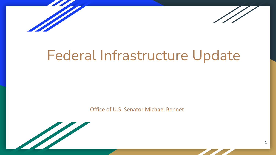



1

# Federal Infrastructure Update

Office of U.S. Senator Michael Bennet

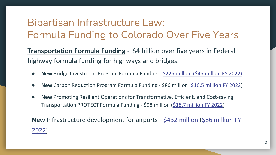### Bipartisan Infrastructure Law: Formula Funding to Colorado Over Five Years

**Transportation Formula Funding** - \$4 billion over five years in Federal highway formula funding for highways and bridges.

- **New** Bridge Investment Program Formula Funding [\\$225 million \(\\$45 million FY 2022\)](https://www.transportation.gov/briefing-room/dot-announces-historic-bridge-investment-under-bipartisan-infrastructure-law)
- **New** Carbon Reduction Program Formula Funding \$86 million [\(\\$16.5 million FY 2022\)](https://www.fhwa.dot.gov/legsregs/directives/notices/n4510858/n4510858_t1.cfm)
- **New** Promoting Resilient Operations for Transformative, Efficient, and Cost-saving Transportation PROTECT Formula Funding - \$98 million ([\\$18.7 million FY 2022](https://www.fhwa.dot.gov/legsregs/directives/notices/n4510858/n4510858_t1.cfm))

**New** [Infrastructure development for airports](https://www.faa.gov/bil/airport-infrastructure) - [\\$432 million](https://www.bennet.senate.gov/public/index.cfm/press-releases?id=B28AAD86-C368-469C-9C5C-8FBA44ADA85E) (\$86 million FY 2022)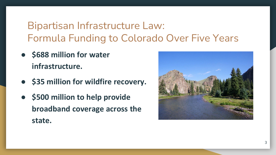### Bipartisan Infrastructure Law: Formula Funding to Colorado Over Five Years

- **\$688 million for water infrastructure.**
- **\$35 million for wildfire recovery.**
- **\$500 million to help provide broadband coverage across the state.**

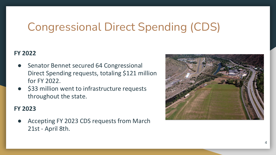## Congressional Direct Spending (CDS)

#### **FY 2022**

- Senator Bennet secured 64 Congressional Direct Spending requests, totaling \$121 million for FY 2022.
- \$33 million went to infrastructure requests throughout the state.

#### **FY 2023**

Accepting FY 2023 CDS requests from March 21st - April 8th.

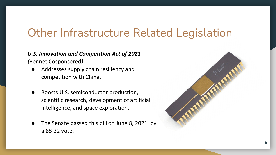### Other Infrastructure Related Legislation

### *U.S. Innovation and Competition Act of 2021*

*(*Bennet Cosponsored*)*

- Addresses supply chain resiliency and competition with China.
- Boosts U.S. semiconductor production, scientific research, development of artificial intelligence, and space exploration.
- The Senate passed this bill on June 8, 2021, by a 68-32 vote.